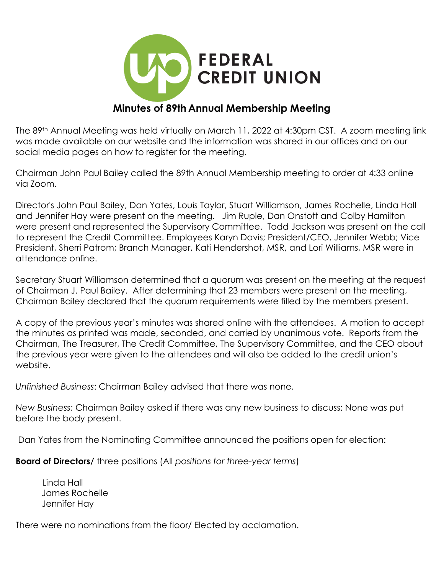

## **Minutes of 89th Annual Membership Meeting**

The 89th Annual Meeting was held virtually on March 11, 2022 at 4:30pm CST. A zoom meeting link was made available on our website and the information was shared in our offices and on our social media pages on how to register for the meeting.

Chairman John Paul Bailey called the 89th Annual Membership meeting to order at 4:33 online via Zoom.

Director's John Paul Bailey, Dan Yates, Louis Taylor, Stuart Williamson, James Rochelle, Linda Hall and Jennifer Hay were present on the meeting. Jim Ruple, Dan Onstott and Colby Hamilton were present and represented the Supervisory Committee. Todd Jackson was present on the call to represent the Credit Committee. Employees Karyn Davis; President/CEO, Jennifer Webb; Vice President, Sherri Patrom; Branch Manager, Kati Hendershot, MSR, and Lori Williams, MSR were in attendance online.

Secretary Stuart Williamson determined that a quorum was present on the meeting at the request of Chairman J. Paul Bailey. After determining that 23 members were present on the meeting, Chairman Bailey declared that the quorum requirements were filled by the members present.

A copy of the previous year's minutes was shared online with the attendees. A motion to accept the minutes as printed was made, seconded, and carried by unanimous vote. Reports from the Chairman, The Treasurer, The Credit Committee, The Supervisory Committee, and the CEO about the previous year were given to the attendees and will also be added to the credit union's website.

*Unfinished Business*: Chairman Bailey advised that there was none.

*New Business:* Chairman Bailey asked if there was any new business to discuss: None was put before the body present.

Dan Yates from the Nominating Committee announced the positions open for election:

**Board of Directors/** three positions (All *positions for three-year terms*)

 Linda Hall James Rochelle Jennifer Hay

There were no nominations from the floor/ Elected by acclamation.